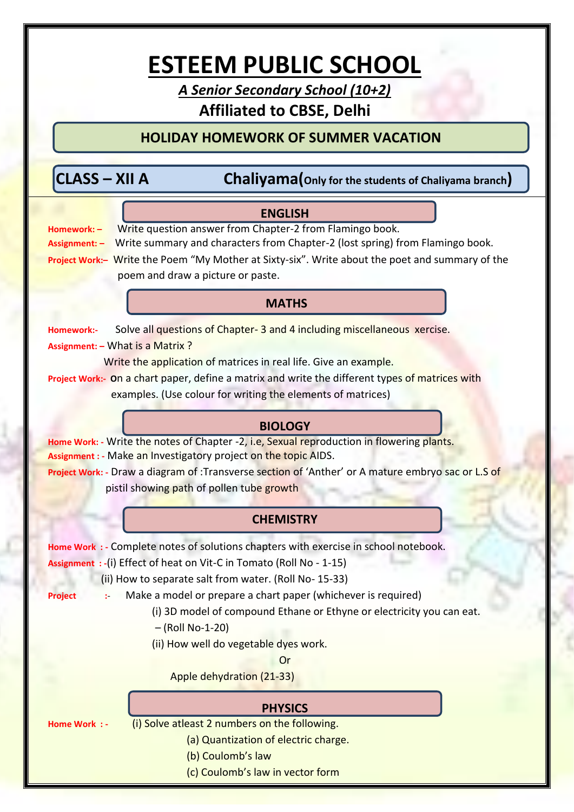# **ESTEEM PUBLIC SCHOOL**

*A Senior Secondary School (10+2)* **Affiliated to CBSE, Delhi**

### **HOLIDAY HOMEWORK OF SUMMER VACATION**

**Chaliyama(**Only for the students of Chaliyama branch)

## **MATHS ENGLISH Homework: –** Write question answer from Chapter-2 from Flamingo book. **Assignment: –** Write summary and characters from Chapter-2 (lost spring) from Flamingo book. **Project Work:–** Write the Poem "My Mother at Sixty-six". Write about the poet and summary of the poem and draw a picture or paste. **Homework:-** Solve all questions of Chapter- 3 and 4 including miscellaneous xercise. **Assignment: –** What is a Matrix ? Write the application of matrices in real life. Give an example. **Project Work:- O**n a chart paper, define a matrix and write the different types of matrices with examples. (Use colour for writing the elements of matrices) **BIOLOGY Home Work: -** Write the notes of Chapter -2, i.e, Sexual reproduction in flowering plants. **Assignment : -** Make an Investigatory project on the topic AIDS. **Project Work: -** Draw a diagram of :Transverse section of 'Anther' or A mature embryo sac or L.S of pistil showing path of pollen tube growth **CHEMISTRY Home Work : -** Complete notes of solutions chapters with exercise in school notebook. **Assignment : -**(i) Effect of heat on Vit-C in Tomato (Roll No - 1-15) (ii) How to separate salt from water. (Roll No- 15-33) **Project** :- Make a model or prepare a chart paper (whichever is required) (i) 3D model of compound Ethane or Ethyne or electricity you can eat. – (Roll No-1-20) (ii) How well do vegetable dyes work. Or Apple dehydration (21-33) **PHYSICS Home Work : -** (i) Solve atleast 2 numbers on the following. (a) Quantization of electric charge.

- (b) Coulomb's law
- (c) Coulomb's law in vector form